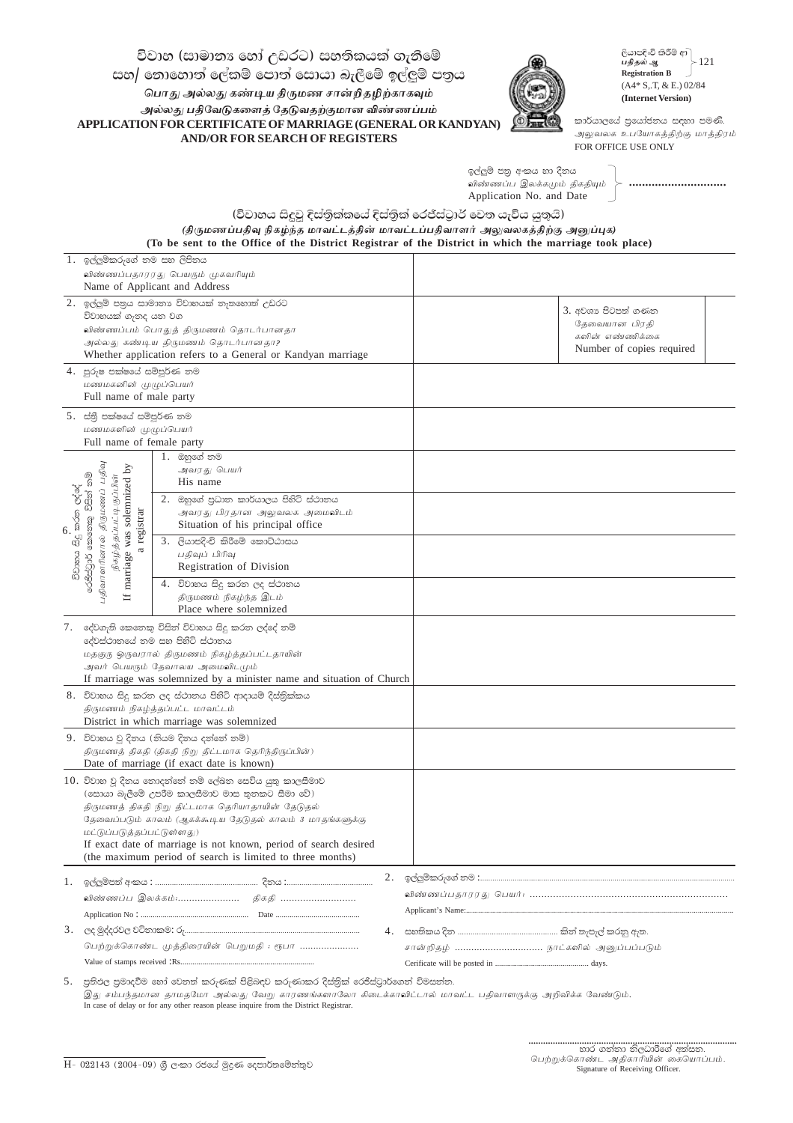විවාහ (සාමානඃ හෝ උඩරට) සහතිකයක් ගැනීමේ සහ/ නොහොත් ලේකම් පොත් සොයා බැලීමේ ඉල්ලුම් පතුය பொது அல்லது கண்டிய திருமண சான்றிதழிற்காகவும் அல்லது பதிவேடுகளைத் தேடுவதற்குமான விண்ணப்பம் APPLICATION FOR CERTIFICATE OF MARRIAGE (GENERAL OR KANDYAN) **AND/OR FOR SEARCH OF REGISTERS** 



ලියාපදිංචි කිරීම් ආ ) பதிதல் ஆ  $-121$ **Registration B**  $(A4 * S,T, & E.)$  02/84 (Internet Version)

කාර්යාලයේ පුයෝජනය සඳහා පමණි. அலுவலக உபயோகத்திற்கு மாத்திரம் FOR OFFICE USE ONLY

ඉල්ලුම් පතු අංකය හා දිනය ு —<br>விண்ணப்ப இலக்கமும் திகதியும் Application No. and Date

(විවාහය සිදුවූ දිස්තික්කයේ දිස්තික් රෙජීස්ටුාර් වෙත යැවිය යුතුයි)

(திருமணப்பதிவு நிகழ்ந்த மாவட்டத்தின் மாவட்டப்பதிவாளர் அலுவலகத்திற்கு அனுப்புக) (To be sent to the Office of the District Registrar of the District in which the marriage took place)

|                | 1. ඉල්ලුම්කරුගේ නම සහ ලිපිනය                                                                                                  |                                                                                                    |    |                                    |  |  |
|----------------|-------------------------------------------------------------------------------------------------------------------------------|----------------------------------------------------------------------------------------------------|----|------------------------------------|--|--|
|                | விண்ணப்பதாரரது பெயரும் முகவரியும்<br>Name of Applicant and Address                                                            |                                                                                                    |    |                                    |  |  |
|                | 2. ඉල්ලුම් පතුය සාමාතාා විවාහයක් තැතහොත් උඩරට<br>විවාහයක් ගැනද යන වග                                                          |                                                                                                    |    | 3. අවශා පිටපත් ගණන                 |  |  |
|                |                                                                                                                               | விண்ணப்பம் பொதுத் திருமணம் தொடர்பானதா                                                              |    | தேவையான பிரதி                      |  |  |
|                |                                                                                                                               | அல்லது கண்டிய திருமணம் தொடர்பானதா?                                                                 |    | களின் எண்ணிக்கை                    |  |  |
|                |                                                                                                                               | Whether application refers to a General or Kandyan marriage                                        |    | Number of copies required          |  |  |
|                | 4. පුරුෂ පක්ෂයේ සම්පූර්ණ තම                                                                                                   |                                                                                                    |    |                                    |  |  |
|                | மணமகனின் முழுப்பெயர்<br>Full name of male party                                                                               |                                                                                                    |    |                                    |  |  |
|                | 5. ස්තුී පක්ෂයේ සම්පූර්ණ තම                                                                                                   |                                                                                                    |    |                                    |  |  |
|                | மணமகளின் முழுப்பெயர்                                                                                                          |                                                                                                    |    |                                    |  |  |
|                | Full name of female party                                                                                                     |                                                                                                    |    |                                    |  |  |
|                |                                                                                                                               | 1.  ඔහුගේ නම                                                                                       |    |                                    |  |  |
|                | $\rm{S}$                                                                                                                      | அவரது பெயர்<br>His name                                                                            |    |                                    |  |  |
| .<br>කරන ලද්දේ | திருமணப் பதிவு<br>චිටානය සිදු කරන ලද්දේ<br>රෙජිස්ටුර් කෙනෙකු විසින් නම්<br>நிகழ்த்தப்பட்டிருப்பின்<br>marriage was solemnized | 2. ඔහුගේ පුධාන කාර්යාලය පිහිටි ස්ථානය                                                              |    |                                    |  |  |
|                |                                                                                                                               | அவரது பிரதான அலுவலக அமைவிடம்                                                                       |    |                                    |  |  |
|                |                                                                                                                               | Situation of his principal office                                                                  |    |                                    |  |  |
|                | a registrar                                                                                                                   | 3. ලියාපදිංචි කිරීමේ කොට්ඨාසය                                                                      |    |                                    |  |  |
|                |                                                                                                                               | பதிவுப் பிரிவு<br>Registration of Division                                                         |    |                                    |  |  |
|                | பதிவாளரினால்                                                                                                                  |                                                                                                    |    |                                    |  |  |
|                | Н                                                                                                                             | 4. විවාහය සිදු කරන ලද ස්ථානය<br>திருமணம் நிகழ்ந்த இடம்                                             |    |                                    |  |  |
|                |                                                                                                                               | Place where solemnized                                                                             |    |                                    |  |  |
|                |                                                                                                                               | 7. දේවගැති කෙතෙකු විසින් විවාහය සිදු කරන ලද්දේ නම්                                                 |    |                                    |  |  |
|                |                                                                                                                               | දේවස්ථානයේ නම සහ පිහිටි ස්ථානය                                                                     |    |                                    |  |  |
|                |                                                                                                                               | மதகுரு ஒருவரால் திருமணம் நிகழ்த்தப்பட்டதாயின்<br>அவர் பெயரும் தேவாலய அமைவிடமும்                    |    |                                    |  |  |
|                |                                                                                                                               | If marriage was solemnized by a minister name and situation of Church                              |    |                                    |  |  |
|                |                                                                                                                               | 8. විවාහය සිදු කරන ලද ස්ථානය පිහිටි ආදායම් දිස්තිුක්කය                                             |    |                                    |  |  |
|                | திருமணம் நிகழ்த்தப்பட்ட மாவட்டம்                                                                                              |                                                                                                    |    |                                    |  |  |
|                |                                                                                                                               | District in which marriage was solemnized                                                          |    |                                    |  |  |
|                |                                                                                                                               | 9. විවාහය වූ දිනය (නියම දිනය දන්නේ නම්)                                                            |    |                                    |  |  |
|                |                                                                                                                               | திருமணத் திகதி (திகதி நிறு திட்டமாக தெரிந்திருப்பின்)<br>Date of marriage (if exact date is known) |    |                                    |  |  |
|                | $10.$ විවාහ වූ දිනය තොදන්නේ නම් ලේඛන සෙවිය යුතු කාලසීමාව                                                                      |                                                                                                    |    |                                    |  |  |
|                |                                                                                                                               | (සොයා බැලීමේ උපරීම කාලසීමාව මාස තුනකට සීමා වේ)                                                     |    |                                    |  |  |
|                |                                                                                                                               | திருமணத் திகதி நிறு திட்டமாக தெரியாதாயின் தேடுதல்                                                  |    |                                    |  |  |
|                | மட்டுப்படுத்தப்பட்டுள்ளது)                                                                                                    | தேவைப்படும் காலம் (ஆகக்கூடிய தேடுதல் காலம் 3 மாதங்களுக்கு                                          |    |                                    |  |  |
|                |                                                                                                                               | If exact date of marriage is not known, period of search desired                                   |    |                                    |  |  |
|                |                                                                                                                               | (the maximum period of search is limited to three months)                                          |    |                                    |  |  |
| 1.             |                                                                                                                               |                                                                                                    | 2. |                                    |  |  |
|                |                                                                                                                               |                                                                                                    |    |                                    |  |  |
|                |                                                                                                                               |                                                                                                    |    |                                    |  |  |
| 3.             |                                                                                                                               |                                                                                                    |    |                                    |  |  |
|                | பெற்றுக்கொண்ட முத்திரையின் பெறுமதி : ரூபா                                                                                     |                                                                                                    |    | சான்றிதழ்  நாட்களில் அனுப்பப்படும் |  |  |
|                |                                                                                                                               |                                                                                                    |    |                                    |  |  |

5. පුතිඵල පුමාදවීම හෝ වෙනත් කරුණක් පිළිබඳව කරුණාකර දිස්තික් රෙජිස්ටුාර්ගෙත් විමසන්ත. .<br>இது சம்பந்தமான தாமதமோ அல்லது வேறு காரணங்களாலோ கிடைக்காவிட்டால் மாவட்ட பதிவாளருக்கு அறிவிக்க வேண்டும். In case of delay or for any other reason please inquire from the District Registrar.